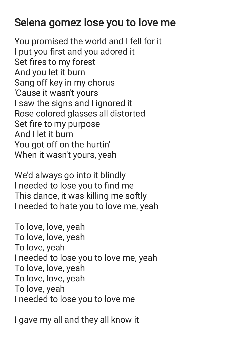## Selena gomez lose you to love me

You promised the world and I fell for it I put you first and you adored it Set fires to my forest And you let it burn Sang off key in my chorus 'Cause it wasn't yours I saw the signs and I ignored it Rose colored glasses all distorted Set fire to my purpose And I let it burn You got off on the hurtin' When it wasn't yours, yeah

We'd always go into it blindly I needed to lose you to find me This dance, it was killing me softly I needed to hate you to love me, yeah

To love, love, yeah To love, love, yeah To love, yeah I needed to lose you to love me, yeah To love, love, yeah To love, love, yeah To love, yeah I needed to lose you to love me

I gave my all and they all know it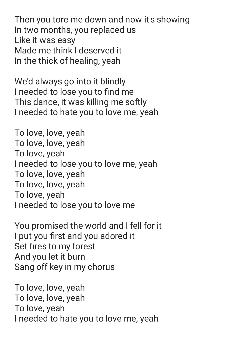Then you tore me down and now it's showing In two months, you replaced us Like it was easy Made me think I deserved it In the thick of healing, yeah

We'd always go into it blindly I needed to lose you to find me This dance, it was killing me softly I needed to hate you to love me, yeah

To love, love, yeah To love, love, yeah To love, yeah I needed to lose you to love me, yeah To love, love, yeah To love, love, yeah To love, yeah I needed to lose you to love me

You promised the world and I fell for it I put you first and you adored it Set fires to my forest And you let it burn Sang off key in my chorus

To love, love, yeah To love, love, yeah To love, yeah I needed to hate you to love me, yeah